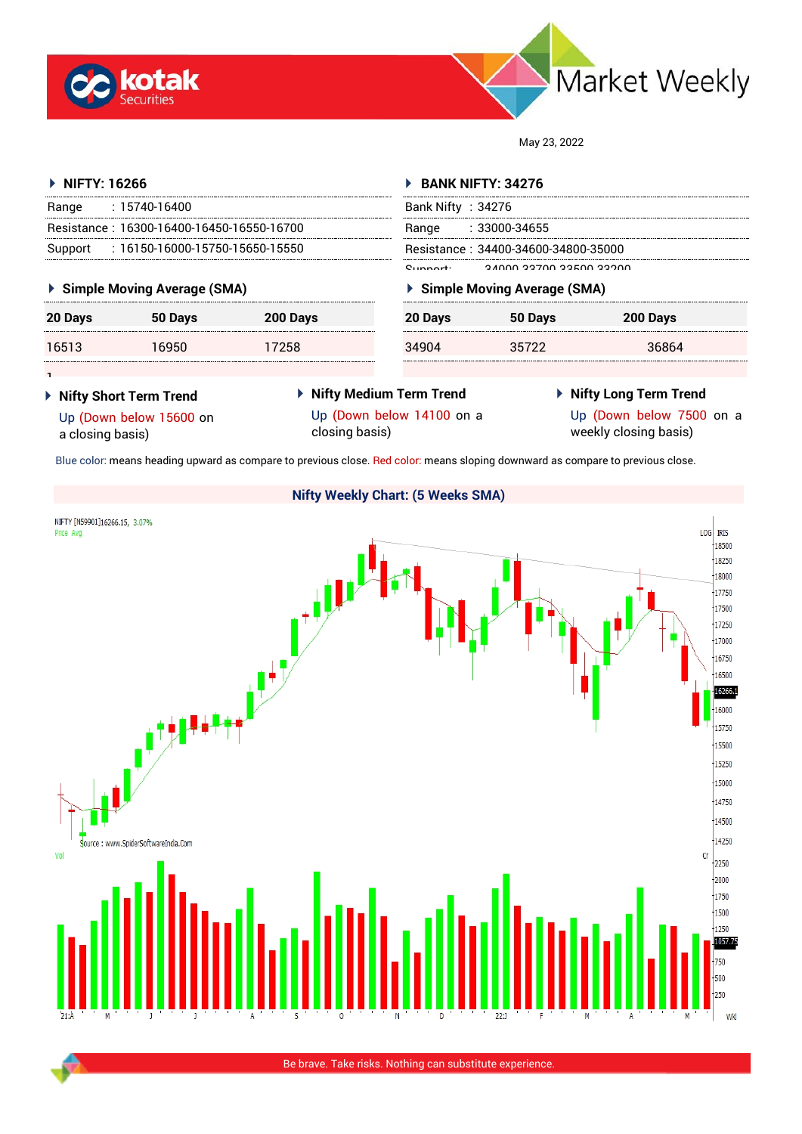



May 23, 2022

**20 Days 50 Days 200 Days**

34904 35722 36864

| <b>BANK NIFTY: 34276</b>            |  |  |
|-------------------------------------|--|--|
| Bank Nifty : $34276$                |  |  |
| :33000-34655                        |  |  |
| Resistance: 34400-34600-34800-35000 |  |  |
| n inna aazaa aaraa aaana            |  |  |
| ▶ Simple Moving Average (SMA)       |  |  |
|                                     |  |  |

| 20 Days | 50 Days | 200 Days |
|---------|---------|----------|
| 16513   | 16950   | 17258    |

# **Nifty Short Term Trend** Up (Down below 15600 on

a closing basis)

1

 **Nifty Medium Term Trend** Up (Down below 14100 on a closing basis)

## **Nifty Long Term Trend**

Up (Down below 7500 on a weekly closing basis)

Blue color: means heading upward as compare to previous close. Red color: means sloping downward as compare to previous close.

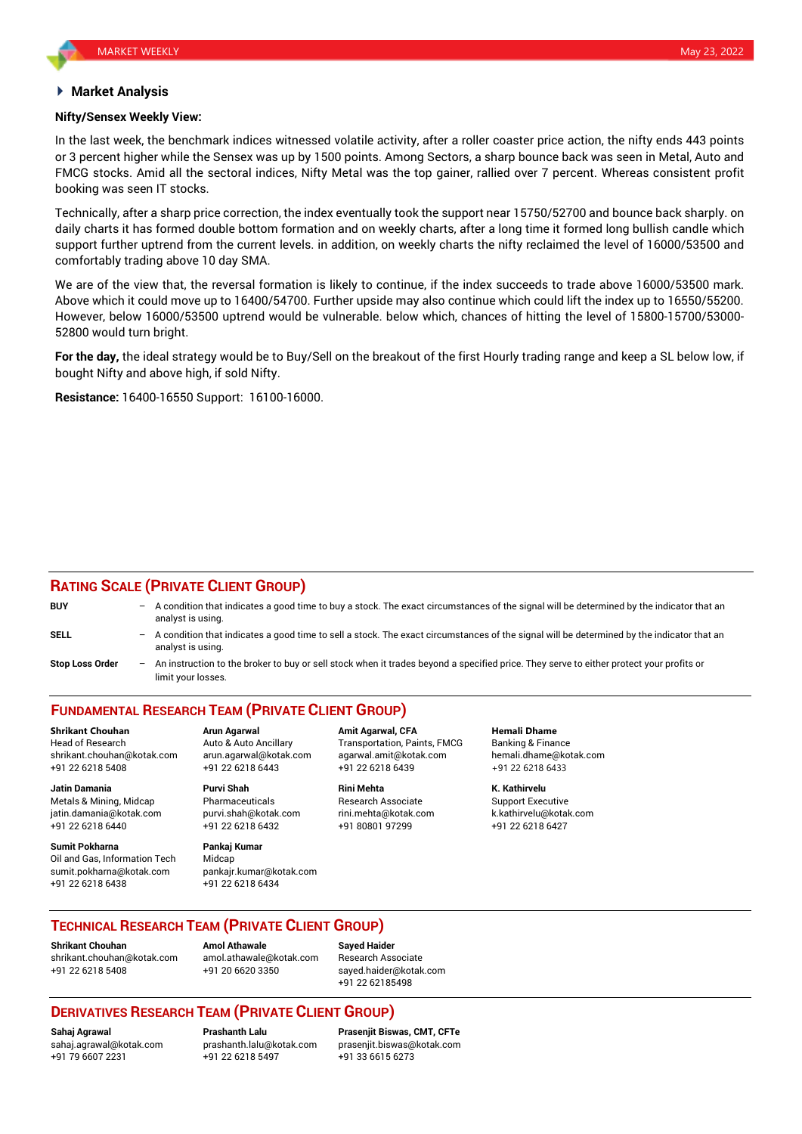### **Market Analysis**

#### **Nifty/Sensex Weekly View:**

In the last week, the benchmark indices witnessed volatile activity, after a roller coaster price action, the nifty ends 443 points or 3 percent higher while the Sensex was up by 1500 points. Among Sectors, a sharp bounce back was seen in Metal, Auto and FMCG stocks. Amid all the sectoral indices, Nifty Metal was the top gainer, rallied over 7 percent. Whereas consistent profit booking was seen IT stocks.

Technically, after a sharp price correction, the index eventually took the support near 15750/52700 and bounce back sharply. on daily charts it has formed double bottom formation and on weekly charts, after a long time it formed long bullish candle which support further uptrend from the current levels. in addition, on weekly charts the nifty reclaimed the level of 16000/53500 and comfortably trading above 10 day SMA.

We are of the view that, the reversal formation is likely to continue, if the index succeeds to trade above 16000/53500 mark. Above which it could move up to 16400/54700. Further upside may also continue which could lift the index up to 16550/55200. However, below 16000/53500 uptrend would be vulnerable. below which, chances of hitting the level of 15800-15700/53000- 52800 would turn bright.

**For the day,** the ideal strategy would be to Buy/Sell on the breakout of the first Hourly trading range and keep a SL below low, if bought Nifty and above high, if sold Nifty.

**Resistance:** 16400-16550 Support: 16100-16000.

## **RATING SCALE (PRIVATE CLIENT GROUP)**

| <b>BUY</b>      | $-$ A condition that indicates a good time to buy a stock. The exact circumstances of the signal will be determined by the indicator that an<br>analyst is using. |
|-----------------|-------------------------------------------------------------------------------------------------------------------------------------------------------------------|
| SELL            | - A condition that indicates a good time to sell a stock. The exact circumstances of the signal will be determined by the indicator that an<br>analyst is using.  |
| Stop Loss Order | - An instruction to the broker to buy or sell stock when it trades beyond a specified price. They serve to either protect your profits or<br>limit your losses.   |

# **FUNDAMENTAL RESEARCH TEAM (PRIVATE CLIENT GROUP)**

Head of Research **Auto & Auto Ancillary** Transportation, Paints, FMCG Banking & Finance shrikant.chouhan@kotak.com arun.agarwal@kotak.com [agarwal.amit@kotak.com](mailto:agarwal.amit@kotak.com) hemali.dhame@kotak.com +91 22 6218 5408 +91 22 6218 6443 +91 22 6218 6439 +91 22 6218 6433

Metals & Mining, Midcap Pharmaceuticals Research Associate Support Executive jatin.damania@kotak.com [purvi.shah@kotak.com](mailto:purvi.shah@kotak.com) rini.mehta@kotak.com [k.kathirvelu@kotak.com](mailto:k.kathirvelu@kotak.com) +91 22 6218 6440 +91 22 6218 6432 +91 80801 97299 +91 22 6218 6427

**Sumit Pokharna** Pankaj Kumar Oil and Gas, Information Tech Midcap sumit.pokharna@kotak.com pankajr.kumar@kotak.com +91 22 6218 6438 +91 22 6218 6434

**Jatin Damania Purvi Shah Rini Mehta K. Kathirvelu**

**Shrikant Chouhan Arun Agarwal Amit Agarwal, CFA Hemali Dhame**

## **TECHNICAL RESEARCH TEAM (PRIVATE CLIENT GROUP)**

**Shrikant Chouhan Amol Athawale Sayed Haider** [shrikant.chouhan@kotak.com](mailto:shrikant.chouhan@kotak.com) [amol.athawale@kotak.com](mailto:amol.athawale@kotak.com) Research Associate +91 22 6218 5408 +91 20 6620 3350 [sayed.haider@kotak.com](mailto:sayed.haider@kotak.com)

+91 22 62185498

## **DERIVATIVES RESEARCH TEAM (PRIVATE CLIENT GROUP)**

+91 79 6607 2231 +91 22 6218 5497 +91 33 6615 6273

**Sahaj Agrawal Prashanth Lalu Prasenjit Biswas, CMT, CFTe** [sahaj.agrawal@kotak.com](mailto:sahaj.agrawal@kotak.com) [prashanth.lalu@kotak.com](mailto:prashanth.lalu@kotak.com) [prasenjit.biswas@kotak.com](mailto:prasenjit.biswas@kotak.com)